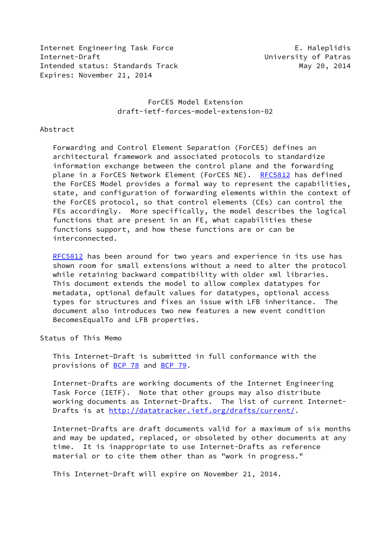Internet Engineering Task Force The E. Haleplidis Internet-Draft University of Patras Intended status: Standards Track May 20, 2014 Expires: November 21, 2014

# ForCES Model Extension draft-ietf-forces-model-extension-02

### Abstract

 Forwarding and Control Element Separation (ForCES) defines an architectural framework and associated protocols to standardize information exchange between the control plane and the forwarding plane in a ForCES Network Element (ForCES NE). [RFC5812](https://datatracker.ietf.org/doc/pdf/rfc5812) has defined the ForCES Model provides a formal way to represent the capabilities, state, and configuration of forwarding elements within the context of the ForCES protocol, so that control elements (CEs) can control the FEs accordingly. More specifically, the model describes the logical functions that are present in an FE, what capabilities these functions support, and how these functions are or can be interconnected.

[RFC5812](https://datatracker.ietf.org/doc/pdf/rfc5812) has been around for two years and experience in its use has shown room for small extensions without a need to alter the protocol while retaining backward compatibility with older xml libraries. This document extends the model to allow complex datatypes for metadata, optional default values for datatypes, optional access types for structures and fixes an issue with LFB inheritance. The document also introduces two new features a new event condition BecomesEqualTo and LFB properties.

Status of This Memo

 This Internet-Draft is submitted in full conformance with the provisions of [BCP 78](https://datatracker.ietf.org/doc/pdf/bcp78) and [BCP 79](https://datatracker.ietf.org/doc/pdf/bcp79).

 Internet-Drafts are working documents of the Internet Engineering Task Force (IETF). Note that other groups may also distribute working documents as Internet-Drafts. The list of current Internet Drafts is at<http://datatracker.ietf.org/drafts/current/>.

 Internet-Drafts are draft documents valid for a maximum of six months and may be updated, replaced, or obsoleted by other documents at any time. It is inappropriate to use Internet-Drafts as reference material or to cite them other than as "work in progress."

This Internet-Draft will expire on November 21, 2014.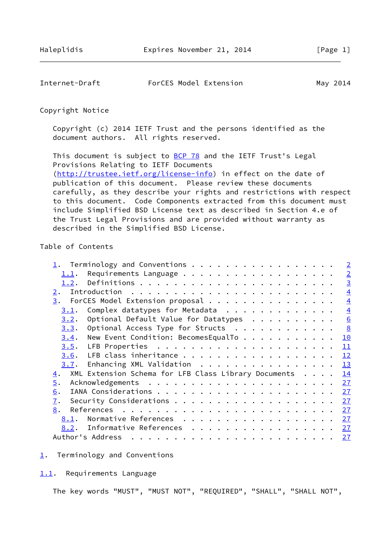<span id="page-1-1"></span>

| Internet-Draft | ForCES Model Extension | May 2014 |
|----------------|------------------------|----------|
|----------------|------------------------|----------|

## Copyright Notice

 Copyright (c) 2014 IETF Trust and the persons identified as the document authors. All rights reserved.

This document is subject to **[BCP 78](https://datatracker.ietf.org/doc/pdf/bcp78)** and the IETF Trust's Legal Provisions Relating to IETF Documents [\(http://trustee.ietf.org/license-info](http://trustee.ietf.org/license-info)) in effect on the date of publication of this document. Please review these documents carefully, as they describe your rights and restrictions with respect to this document. Code Components extracted from this document must include Simplified BSD License text as described in Section 4.e of the Trust Legal Provisions and are provided without warranty as described in the Simplified BSD License.

# Table of Contents

| 1. Terminology and Conventions                             |  | $\overline{2}$ |
|------------------------------------------------------------|--|----------------|
| <u>1.1</u> .                                               |  | $\overline{2}$ |
| 1.2.                                                       |  | $\overline{3}$ |
| 2.                                                         |  | $\overline{4}$ |
| ForCES Model Extension proposal<br>3.                      |  | $\overline{4}$ |
| Complex datatypes for Metadata<br>3.1.                     |  | $\overline{4}$ |
| Optional Default Value for Datatypes<br>3.2.               |  | 6              |
| Optional Access Type for Structs<br>3.3.                   |  | 8              |
| New Event Condition: BecomesEqualTo<br>3.4.                |  | 10             |
| 3.5.                                                       |  | 11             |
| LFB class inheritance<br>3.6.                              |  | 12             |
| Enhancing XML Validation<br>3.7.                           |  | 13             |
| XML Extension Schema for LFB Class Library Documents<br>4. |  | 14             |
| 5.                                                         |  | 27             |
| 6.                                                         |  | 27             |
| 7.                                                         |  | 27             |
| 8.                                                         |  | 27             |
| Normative References<br>8.1.                               |  | 27             |
| Informative References<br>8.2.                             |  | <u>27</u>      |
| Author's Address                                           |  | <u>27</u>      |

<span id="page-1-0"></span>[1](#page-1-0). Terminology and Conventions

<span id="page-1-2"></span>[1.1](#page-1-2). Requirements Language

The key words "MUST", "MUST NOT", "REQUIRED", "SHALL", "SHALL NOT",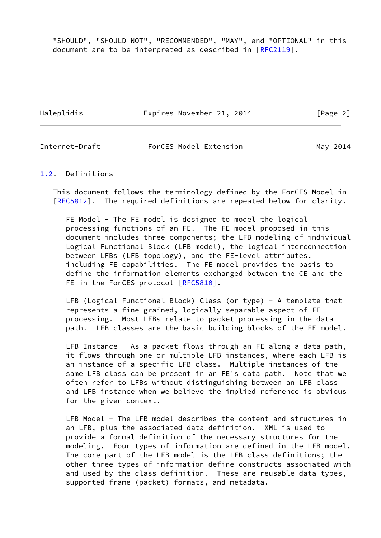"SHOULD", "SHOULD NOT", "RECOMMENDED", "MAY", and "OPTIONAL" in this document are to be interpreted as described in [\[RFC2119](https://datatracker.ietf.org/doc/pdf/rfc2119)].

Haleplidis **Expires November 21, 2014** [Page 2]

<span id="page-2-1"></span>Internet-Draft ForCES Model Extension May 2014

<span id="page-2-0"></span>[1.2](#page-2-0). Definitions

 This document follows the terminology defined by the ForCES Model in [\[RFC5812](https://datatracker.ietf.org/doc/pdf/rfc5812)]. The required definitions are repeated below for clarity.

 FE Model - The FE model is designed to model the logical processing functions of an FE. The FE model proposed in this document includes three components; the LFB modeling of individual Logical Functional Block (LFB model), the logical interconnection between LFBs (LFB topology), and the FE-level attributes, including FE capabilities. The FE model provides the basis to define the information elements exchanged between the CE and the FE in the ForCES protocol [\[RFC5810](https://datatracker.ietf.org/doc/pdf/rfc5810)].

LFB (Logical Functional Block) Class (or type) - A template that represents a fine-grained, logically separable aspect of FE processing. Most LFBs relate to packet processing in the data path. LFB classes are the basic building blocks of the FE model.

LFB Instance - As a packet flows through an FE along a data path, it flows through one or multiple LFB instances, where each LFB is an instance of a specific LFB class. Multiple instances of the same LFB class can be present in an FE's data path. Note that we often refer to LFBs without distinguishing between an LFB class and LFB instance when we believe the implied reference is obvious for the given context.

 LFB Model - The LFB model describes the content and structures in an LFB, plus the associated data definition. XML is used to provide a formal definition of the necessary structures for the modeling. Four types of information are defined in the LFB model. The core part of the LFB model is the LFB class definitions; the other three types of information define constructs associated with and used by the class definition. These are reusable data types, supported frame (packet) formats, and metadata.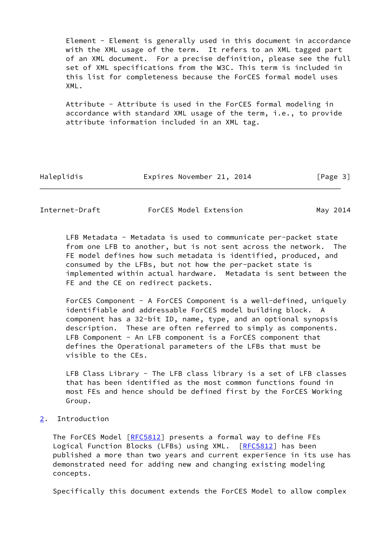Element - Element is generally used in this document in accordance with the XML usage of the term. It refers to an XML tagged part of an XML document. For a precise definition, please see the full set of XML specifications from the W3C. This term is included in this list for completeness because the ForCES formal model uses XML.

 Attribute - Attribute is used in the ForCES formal modeling in accordance with standard XML usage of the term, i.e., to provide attribute information included in an XML tag.

| Haleplidis |  |
|------------|--|
|            |  |

Expires November 21, 2014 [Page 3]

<span id="page-3-1"></span>Internet-Draft ForCES Model Extension May 2014

 LFB Metadata - Metadata is used to communicate per-packet state from one LFB to another, but is not sent across the network. The FE model defines how such metadata is identified, produced, and consumed by the LFBs, but not how the per-packet state is implemented within actual hardware. Metadata is sent between the FE and the CE on redirect packets.

 ForCES Component - A ForCES Component is a well-defined, uniquely identifiable and addressable ForCES model building block. A component has a 32-bit ID, name, type, and an optional synopsis description. These are often referred to simply as components. LFB Component - An LFB component is a ForCES component that defines the Operational parameters of the LFBs that must be visible to the CEs.

 LFB Class Library - The LFB class library is a set of LFB classes that has been identified as the most common functions found in most FEs and hence should be defined first by the ForCES Working Group.

<span id="page-3-0"></span>[2](#page-3-0). Introduction

The ForCES Model [\[RFC5812](https://datatracker.ietf.org/doc/pdf/rfc5812)] presents a formal way to define FEs Logical Function Blocks (LFBs) using XML. [[RFC5812\]](https://datatracker.ietf.org/doc/pdf/rfc5812) has been published a more than two years and current experience in its use has demonstrated need for adding new and changing existing modeling concepts.

Specifically this document extends the ForCES Model to allow complex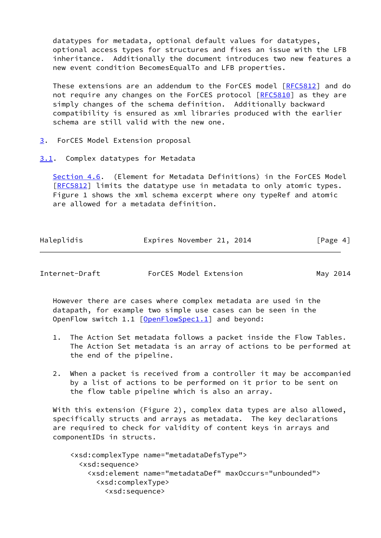datatypes for metadata, optional default values for datatypes, optional access types for structures and fixes an issue with the LFB inheritance. Additionally the document introduces two new features a new event condition BecomesEqualTo and LFB properties.

 These extensions are an addendum to the ForCES model [\[RFC5812](https://datatracker.ietf.org/doc/pdf/rfc5812)] and do not require any changes on the ForCES protocol [\[RFC5810](https://datatracker.ietf.org/doc/pdf/rfc5810)] as they are simply changes of the schema definition. Additionally backward compatibility is ensured as xml libraries produced with the earlier schema are still valid with the new one.

- <span id="page-4-0"></span>[3](#page-4-0). ForCES Model Extension proposal
- <span id="page-4-1"></span>[3.1](#page-4-1). Complex datatypes for Metadata

 Section 4.6. (Element for Metadata Definitions) in the ForCES Model [\[RFC5812](https://datatracker.ietf.org/doc/pdf/rfc5812)] limits the datatype use in metadata to only atomic types. Figure 1 shows the xml schema excerpt where ony typeRef and atomic are allowed for a metadata definition.

| Haleplidis | Expires November 21, 2014 |  | [Page 4] |
|------------|---------------------------|--|----------|
|            |                           |  |          |

Internet-Draft ForCES Model Extension May 2014

 However there are cases where complex metadata are used in the datapath, for example two simple use cases can be seen in the OpenFlow switch 1.1 [\[OpenFlowSpec1.1](#page-30-1)] and beyond:

- 1. The Action Set metadata follows a packet inside the Flow Tables. The Action Set metadata is an array of actions to be performed at the end of the pipeline.
- 2. When a packet is received from a controller it may be accompanied by a list of actions to be performed on it prior to be sent on the flow table pipeline which is also an array.

 With this extension (Figure 2), complex data types are also allowed, specifically structs and arrays as metadata. The key declarations are required to check for validity of content keys in arrays and componentIDs in structs.

 <xsd:complexType name="metadataDefsType"> <xsd:sequence> <xsd:element name="metadataDef" maxOccurs="unbounded"> <xsd:complexType> <xsd:sequence>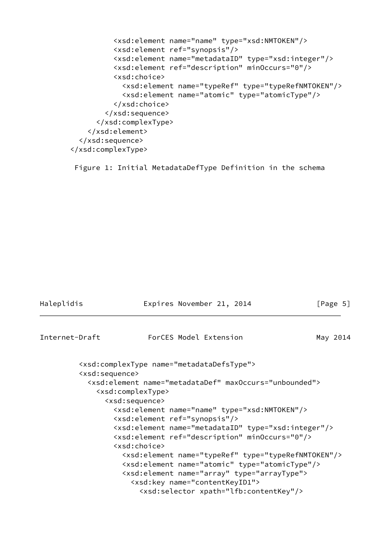```
 <xsd:element name="name" type="xsd:NMTOKEN"/>
           <xsd:element ref="synopsis"/>
           <xsd:element name="metadataID" type="xsd:integer"/>
           <xsd:element ref="description" minOccurs="0"/>
           <xsd:choice>
             <xsd:element name="typeRef" type="typeRefNMTOKEN"/>
             <xsd:element name="atomic" type="atomicType"/>
           </xsd:choice>
         </xsd:sequence>
       </xsd:complexType>
     </xsd:element>
   </xsd:sequence>
 </xsd:complexType>
```
Figure 1: Initial MetadataDefType Definition in the schema

<span id="page-5-0"></span>

| Haleplidis                    | Expires November 21, 2014                                                                                                                                                                                                                                                                          | [Page 5] |
|-------------------------------|----------------------------------------------------------------------------------------------------------------------------------------------------------------------------------------------------------------------------------------------------------------------------------------------------|----------|
| Internet-Draft                | ForCES Model Extension                                                                                                                                                                                                                                                                             | May 2014 |
| <xsd:sequence></xsd:sequence> | <xsd:complextype name="metadataDefsType"></xsd:complextype>                                                                                                                                                                                                                                        |          |
|                               | <xsd:element maxoccurs="unbounded" name="metadataDef"><br/><xsd:complextype><br/><xsd:sequence></xsd:sequence></xsd:complextype></xsd:element>                                                                                                                                                     |          |
|                               | <xsd:element name="name" type="xsd:NMTOKEN"></xsd:element><br><xsd:element ref="synopsis"></xsd:element>                                                                                                                                                                                           |          |
|                               | <xsd:element name="metadataID" type="xsd:integer"></xsd:element><br><xsd:element minoccurs="0" ref="description"></xsd:element><br><xsd:choice></xsd:choice>                                                                                                                                       |          |
|                               | <xsd:element name="typeRef" type="typeRefNMTOKEN"></xsd:element><br><xsd:element name="atomic" type="atomicType"></xsd:element><br><xsd:element name="array" type="arrayType"><br/><xsd:key name="contentKeyID1"><br/><xsd:selector xpath="lfb:contentKey"></xsd:selector></xsd:key></xsd:element> |          |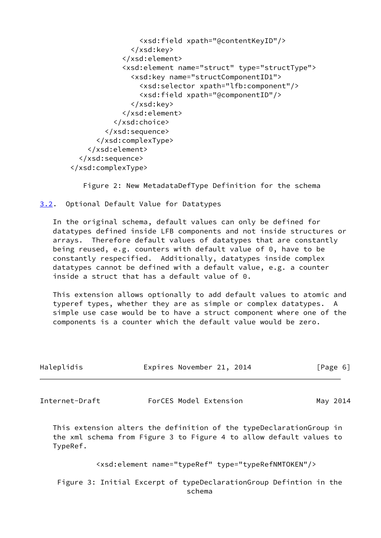```
 <xsd:field xpath="@contentKeyID"/>
                </xsd:key>
              </xsd:element>
              <xsd:element name="struct" type="structType">
                <xsd:key name="structComponentID1">
                  <xsd:selector xpath="lfb:component"/>
                  <xsd:field xpath="@componentID"/>
                </xsd:key>
              </xsd:element>
           </xsd:choice>
         </xsd:sequence>
       </xsd:complexType>
     </xsd:element>
   </xsd:sequence>
 </xsd:complexType>
```
Figure 2: New MetadataDefType Definition for the schema

<span id="page-6-0"></span>[3.2](#page-6-0). Optional Default Value for Datatypes

 In the original schema, default values can only be defined for datatypes defined inside LFB components and not inside structures or arrays. Therefore default values of datatypes that are constantly being reused, e.g. counters with default value of 0, have to be constantly respecified. Additionally, datatypes inside complex datatypes cannot be defined with a default value, e.g. a counter inside a struct that has a default value of 0.

 This extension allows optionally to add default values to atomic and typeref types, whether they are as simple or complex datatypes. A simple use case would be to have a struct component where one of the components is a counter which the default value would be zero.

| Haleplidis | Expires November 21, 2014 | [Page 6] |
|------------|---------------------------|----------|
|            |                           |          |

Internet-Draft ForCES Model Extension May 2014

 This extension alters the definition of the typeDeclarationGroup in the xml schema from Figure 3 to Figure 4 to allow default values to TypeRef.

<xsd:element name="typeRef" type="typeRefNMTOKEN"/>

 Figure 3: Initial Excerpt of typeDeclarationGroup Defintion in the schema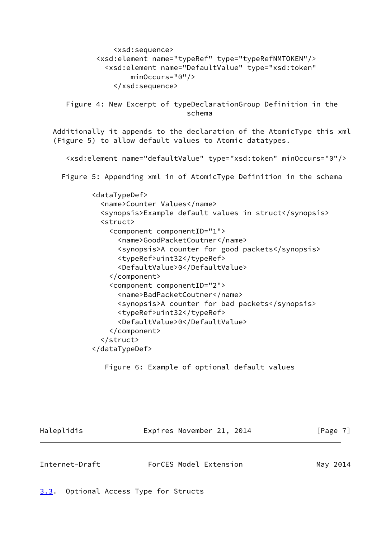```
 <xsd:sequence>
           <xsd:element name="typeRef" type="typeRefNMTOKEN"/>
             <xsd:element name="DefaultValue" type="xsd:token"
                    minOccurs="0"/>
               </xsd:sequence>
    Figure 4: New Excerpt of typeDeclarationGroup Definition in the
                                 schema
 Additionally it appends to the declaration of the AtomicType this xml
 (Figure 5) to allow default values to Atomic datatypes.
    <xsd:element name="defaultValue" type="xsd:token" minOccurs="0"/>
   Figure 5: Appending xml in of AtomicType Definition in the schema
          <dataTypeDef>
            <name>Counter Values</name>
            <synopsis>Example default values in struct</synopsis>
            <struct>
              <component componentID="1">
                 <name>GoodPacketCoutner</name>
                <synopsis>A counter for good packets</synopsis>
                <typeRef>uint32</typeRef>
                 <DefaultValue>0</DefaultValue>
              </component>
              <component componentID="2">
                 <name>BadPacketCoutner</name>
                <synopsis>A counter for bad packets</synopsis>
                <typeRef>uint32</typeRef>
                <DefaultValue>0</DefaultValue>
              </component>
            </struct>
          </dataTypeDef>
```
Figure 6: Example of optional default values

| Haleplidis | Expires November 21, 2014 | [Page 7] |
|------------|---------------------------|----------|
|            |                           |          |

<span id="page-7-1"></span>Internet-Draft ForCES Model Extension May 2014

<span id="page-7-0"></span>[3.3](#page-7-0). Optional Access Type for Structs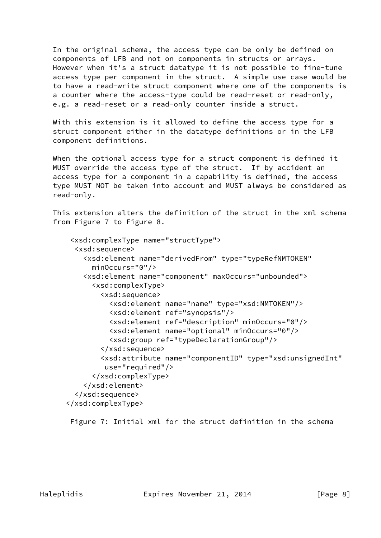In the original schema, the access type can be only be defined on components of LFB and not on components in structs or arrays. However when it's a struct datatype it is not possible to fine-tune access type per component in the struct. A simple use case would be to have a read-write struct component where one of the components is a counter where the access-type could be read-reset or read-only, e.g. a read-reset or a read-only counter inside a struct.

 With this extension is it allowed to define the access type for a struct component either in the datatype definitions or in the LFB component definitions.

 When the optional access type for a struct component is defined it MUST override the access type of the struct. If by accident an access type for a component in a capability is defined, the access type MUST NOT be taken into account and MUST always be considered as read-only.

 This extension alters the definition of the struct in the xml schema from Figure 7 to Figure 8.

```
 <xsd:complexType name="structType">
   <xsd:sequence>
     <xsd:element name="derivedFrom" type="typeRefNMTOKEN"
       minOccurs="0"/>
     <xsd:element name="component" maxOccurs="unbounded">
       <xsd:complexType>
         <xsd:sequence>
           <xsd:element name="name" type="xsd:NMTOKEN"/>
           <xsd:element ref="synopsis"/>
           <xsd:element ref="description" minOccurs="0"/>
           <xsd:element name="optional" minOccurs="0"/>
           <xsd:group ref="typeDeclarationGroup"/>
         </xsd:sequence>
         <xsd:attribute name="componentID" type="xsd:unsignedInt"
          use="required"/>
       </xsd:complexType>
     </xsd:element>
   </xsd:sequence>
 </xsd:complexType>
```
Figure 7: Initial xml for the struct definition in the schema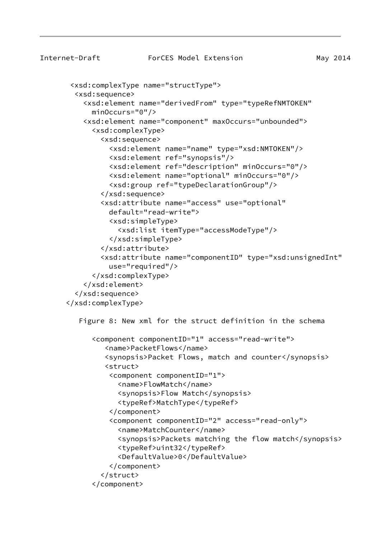Internet-Draft ForCES Model Extension May 2014 <xsd:complexType name="structType"> <xsd:sequence> <xsd:element name="derivedFrom" type="typeRefNMTOKEN" minOccurs="0"/> <xsd:element name="component" maxOccurs="unbounded"> <xsd:complexType> <xsd:sequence> <xsd:element name="name" type="xsd:NMTOKEN"/> <xsd:element ref="synopsis"/> <xsd:element ref="description" minOccurs="0"/> <xsd:element name="optional" minOccurs="0"/> <xsd:group ref="typeDeclarationGroup"/> </xsd:sequence> <xsd:attribute name="access" use="optional" default="read-write"> <xsd:simpleType> <xsd:list itemType="accessModeType"/> </xsd:simpleType> </xsd:attribute> <xsd:attribute name="componentID" type="xsd:unsignedInt" use="required"/> </xsd:complexType> </xsd:element> </xsd:sequence> </xsd:complexType> Figure 8: New xml for the struct definition in the schema <component componentID="1" access="read-write"> <name>PacketFlows</name> <synopsis>Packet Flows, match and counter</synopsis> <struct> <component componentID="1"> <name>FlowMatch</name> <synopsis>Flow Match</synopsis> <typeRef>MatchType</typeRef> </component> <component componentID="2" access="read-only"> <name>MatchCounter</name> <synopsis>Packets matching the flow match</synopsis> <typeRef>uint32</typeRef> <DefaultValue>0</DefaultValue> </component> </struct> </component>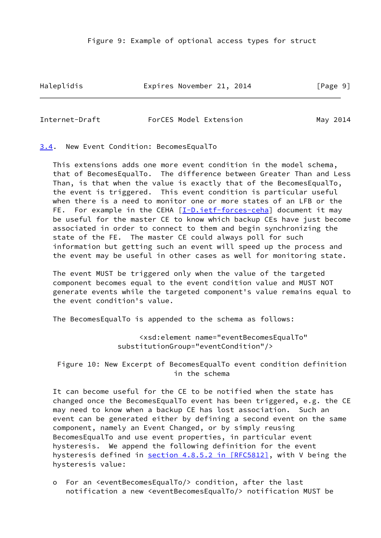Figure 9: Example of optional access types for struct

Haleplidis **Expires November 21, 2014** [Page 9]

<span id="page-10-1"></span>Internet-Draft ForCES Model Extension May 2014

<span id="page-10-0"></span>[3.4](#page-10-0). New Event Condition: BecomesEqualTo

 This extensions adds one more event condition in the model schema, that of BecomesEqualTo. The difference between Greater Than and Less Than, is that when the value is exactly that of the BecomesEqualTo, the event is triggered. This event condition is particular useful when there is a need to monitor one or more states of an LFB or the FE. For example in the CEHA [\[I-D.ietf-forces-ceha](#page-29-6)] document it may be useful for the master CE to know which backup CEs have just become associated in order to connect to them and begin synchronizing the state of the FE. The master CE could always poll for such information but getting such an event will speed up the process and the event may be useful in other cases as well for monitoring state.

 The event MUST be triggered only when the value of the targeted component becomes equal to the event condition value and MUST NOT generate events while the targeted component's value remains equal to the event condition's value.

The BecomesEqualTo is appended to the schema as follows:

 <xsd:element name="eventBecomesEqualTo" substitutionGroup="eventCondition"/>

 Figure 10: New Excerpt of BecomesEqualTo event condition definition in the schema

 It can become useful for the CE to be notified when the state has changed once the BecomesEqualTo event has been triggered, e.g. the CE may need to know when a backup CE has lost association. Such an event can be generated either by defining a second event on the same component, namely an Event Changed, or by simply reusing BecomesEqualTo and use event properties, in particular event hysteresis. We append the following definition for the event hysteresis defined in section [4.8.5.2 in \[RFC5812\]](https://datatracker.ietf.org/doc/pdf/rfc5812#section-4.8.5.2), with V being the hysteresis value:

 o For an <eventBecomesEqualTo/> condition, after the last notification a new <eventBecomesEqualTo/> notification MUST be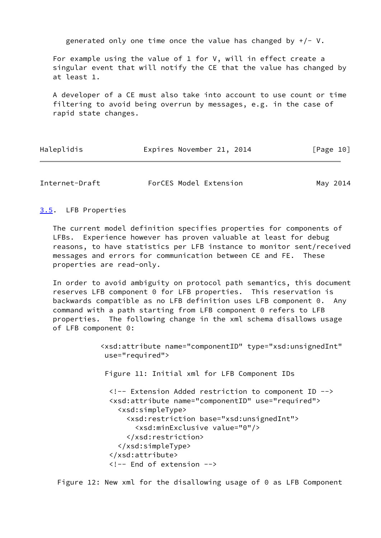generated only one time once the value has changed by  $+/- V$ .

 For example using the value of 1 for V, will in effect create a singular event that will notify the CE that the value has changed by at least 1.

 A developer of a CE must also take into account to use count or time filtering to avoid being overrun by messages, e.g. in the case of rapid state changes.

|  | Haleplidis | Expires November 21, 2014 | [Page 10] |
|--|------------|---------------------------|-----------|
|--|------------|---------------------------|-----------|

<span id="page-11-1"></span>Internet-Draft ForCES Model Extension May 2014

<span id="page-11-0"></span>[3.5](#page-11-0). LFB Properties

 The current model definition specifies properties for components of LFBs. Experience however has proven valuable at least for debug reasons, to have statistics per LFB instance to monitor sent/received messages and errors for communication between CE and FE. These properties are read-only.

 In order to avoid ambiguity on protocol path semantics, this document reserves LFB component 0 for LFB properties. This reservation is backwards compatible as no LFB definition uses LFB component 0. Any command with a path starting from LFB component 0 refers to LFB properties. The following change in the xml schema disallows usage of LFB component 0:

> <xsd:attribute name="componentID" type="xsd:unsignedInt" use="required"> Figure 11: Initial xml for LFB Component IDs <!-- Extension Added restriction to component ID --> <xsd:attribute name="componentID" use="required"> <xsd:simpleType> <xsd:restriction base="xsd:unsignedInt"> <xsd:minExclusive value="0"/> </xsd:restriction> </xsd:simpleType> </xsd:attribute> <!-- End of extension -->

Figure 12: New xml for the disallowing usage of 0 as LFB Component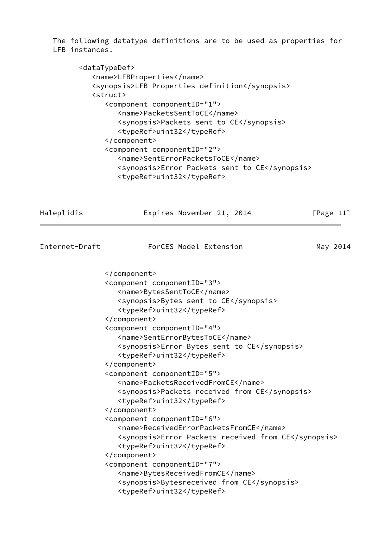The following datatype definitions are to be used as properties for LFB instances.

```
 <dataTypeDef>
    <name>LFBProperties</name>
    <synopsis>LFB Properties definition</synopsis>
    <struct>
       <component componentID="1">
          <name>PacketsSentToCE</name>
          <synopsis>Packets sent to CE</synopsis>
          <typeRef>uint32</typeRef>
       </component>
       <component componentID="2">
          <name>SentErrorPacketsToCE</name>
          <synopsis>Error Packets sent to CE</synopsis>
          <typeRef>uint32</typeRef>
```
<span id="page-12-0"></span>

| Haleplidis     | Expires November 21, 2014                                                                                                                                                                                                                                                                                                                                                                                                                                                                                                                                                                                                                                                                                                                                                                                                                       | [Page $11$ ] |
|----------------|-------------------------------------------------------------------------------------------------------------------------------------------------------------------------------------------------------------------------------------------------------------------------------------------------------------------------------------------------------------------------------------------------------------------------------------------------------------------------------------------------------------------------------------------------------------------------------------------------------------------------------------------------------------------------------------------------------------------------------------------------------------------------------------------------------------------------------------------------|--------------|
| Internet-Draft | ForCES Model Extension                                                                                                                                                                                                                                                                                                                                                                                                                                                                                                                                                                                                                                                                                                                                                                                                                          | May 2014     |
|                | <br><component componentid="3"><br/><name>BytesSentToCE</name><br/><synopsis>Bytes sent to CE</synopsis><br/><typeref>uint32</typeref><br/></component><br><component componentid="4"><br/><name>SentErrorBytesToCE</name><br/><synopsis>Error Bytes sent to CE</synopsis><br/><typeref>uint32</typeref><br/></component><br><component componentid="5"><br/><name>PacketsReceivedFromCE</name><br/><synopsis>Packets received from CE</synopsis><br/><typeref>uint32</typeref><br/></component><br><component componentid="6"><br/><name>ReceivedErrorPacketsFromCE</name><br/><synopsis>Error Packets received from CE</synopsis><br/><typeref>uint32</typeref><br/></component><br><component componentid="7"><br/><name>BytesReceivedFromCE</name><br/><synopsis>Bytesreceived from CE</synopsis><br/><typeref>uint32</typeref></component> |              |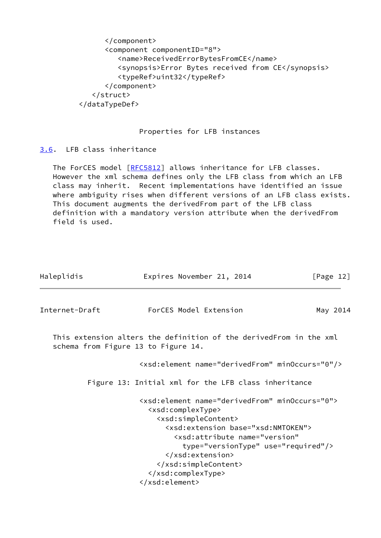```
 </component>
       <component componentID="8">
          <name>ReceivedErrorBytesFromCE</name>
          <synopsis>Error Bytes received from CE</synopsis>
          <typeRef>uint32</typeRef>
       </component>
    </struct>
 </dataTypeDef>
```
## Properties for LFB instances

<span id="page-13-0"></span>[3.6](#page-13-0). LFB class inheritance

The ForCES model [\[RFC5812](https://datatracker.ietf.org/doc/pdf/rfc5812)] allows inheritance for LFB classes. However the xml schema defines only the LFB class from which an LFB class may inherit. Recent implementations have identified an issue where ambiguity rises when different versions of an LFB class exists. This document augments the derivedFrom part of the LFB class definition with a mandatory version attribute when the derivedFrom field is used.

<span id="page-13-1"></span>

| Haleplidis                          | Expires November 21, 2014                                                                                                                                                                                                                                                                                                   | [Page $12$ ] |
|-------------------------------------|-----------------------------------------------------------------------------------------------------------------------------------------------------------------------------------------------------------------------------------------------------------------------------------------------------------------------------|--------------|
| Internet-Draft                      | ForCES Model Extension                                                                                                                                                                                                                                                                                                      | May 2014     |
| schema from Figure 13 to Figure 14. | This extension alters the definition of the derivedFrom in the xml                                                                                                                                                                                                                                                          |              |
|                                     | <xsd:element minoccurs="0" name="derivedFrom"></xsd:element>                                                                                                                                                                                                                                                                |              |
|                                     | Figure 13: Initial xml for the LFB class inheritance                                                                                                                                                                                                                                                                        |              |
|                                     | <xsd:element minoccurs="0" name="derivedFrom"><br/><xsd:complextype><br/><xsd:simplecontent><br/><xsd:extension base="xsd:NMTOKEN"><br/><xsd:attribute <br="" name="version">type="versionType" use="required"/&gt;<br/></xsd:attribute></xsd:extension><br/></xsd:simplecontent><br/></xsd:complextype><br/></xsd:element> |              |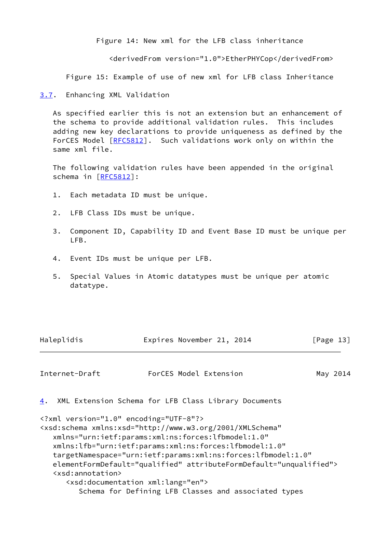Figure 14: New xml for the LFB class inheritance

<derivedFrom version="1.0">EtherPHYCop</derivedFrom>

Figure 15: Example of use of new xml for LFB class Inheritance

<span id="page-14-0"></span>[3.7](#page-14-0). Enhancing XML Validation

 As specified earlier this is not an extension but an enhancement of the schema to provide additional validation rules. This includes adding new key declarations to provide uniqueness as defined by the ForCES Model [\[RFC5812](https://datatracker.ietf.org/doc/pdf/rfc5812)]. Such validations work only on within the same xml file.

 The following validation rules have been appended in the original schema in [[RFC5812](https://datatracker.ietf.org/doc/pdf/rfc5812)]:

- 1. Each metadata ID must be unique.
- 2. LFB Class IDs must be unique.
- 3. Component ID, Capability ID and Event Base ID must be unique per LFB.
- 4. Event IDs must be unique per LFB.
- 5. Special Values in Atomic datatypes must be unique per atomic datatype.

| Haleplidis | Expires November 21, 2014 |  |  | [Page 13] |
|------------|---------------------------|--|--|-----------|
|------------|---------------------------|--|--|-----------|

<span id="page-14-2"></span>Internet-Draft ForCES Model Extension May 2014

<span id="page-14-1"></span>[4](#page-14-1). XML Extension Schema for LFB Class Library Documents

```
<?xml version="1.0" encoding="UTF-8"?>
<xsd:schema xmlns:xsd="http://www.w3.org/2001/XMLSchema"
    xmlns="urn:ietf:params:xml:ns:forces:lfbmodel:1.0"
    xmlns:lfb="urn:ietf:params:xml:ns:forces:lfbmodel:1.0"
    targetNamespace="urn:ietf:params:xml:ns:forces:lfbmodel:1.0"
    elementFormDefault="qualified" attributeFormDefault="unqualified">
    <xsd:annotation>
       <xsd:documentation xml:lang="en">
          Schema for Defining LFB Classes and associated types
```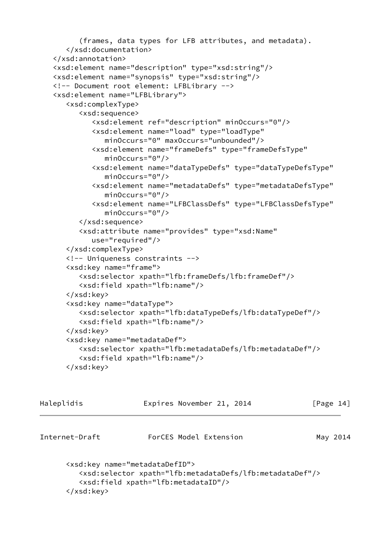```
 (frames, data types for LFB attributes, and metadata).
    </xsd:documentation>
 </xsd:annotation>
 <xsd:element name="description" type="xsd:string"/>
 <xsd:element name="synopsis" type="xsd:string"/>
 <!-- Document root element: LFBLibrary -->
 <xsd:element name="LFBLibrary">
    <xsd:complexType>
       <xsd:sequence>
          <xsd:element ref="description" minOccurs="0"/>
          <xsd:element name="load" type="loadType"
             minOccurs="0" maxOccurs="unbounded"/>
          <xsd:element name="frameDefs" type="frameDefsType"
             minOccurs="0"/>
          <xsd:element name="dataTypeDefs" type="dataTypeDefsType"
             minOccurs="0"/>
          <xsd:element name="metadataDefs" type="metadataDefsType"
             minOccurs="0"/>
          <xsd:element name="LFBClassDefs" type="LFBClassDefsType"
             minOccurs="0"/>
       </xsd:sequence>
       <xsd:attribute name="provides" type="xsd:Name"
          use="required"/>
    </xsd:complexType>
    <!-- Uniqueness constraints -->
    <xsd:key name="frame">
       <xsd:selector xpath="lfb:frameDefs/lfb:frameDef"/>
       <xsd:field xpath="lfb:name"/>
    </xsd:key>
    <xsd:key name="dataType">
       <xsd:selector xpath="lfb:dataTypeDefs/lfb:dataTypeDef"/>
       <xsd:field xpath="lfb:name"/>
    </xsd:key>
    <xsd:key name="metadataDef">
       <xsd:selector xpath="lfb:metadataDefs/lfb:metadataDef"/>
       <xsd:field xpath="lfb:name"/>
    </xsd:key>
```

| Haleplidis     | Expires November 21, 2014                                                                                                                                              | [Page $14$ ] |
|----------------|------------------------------------------------------------------------------------------------------------------------------------------------------------------------|--------------|
| Internet-Draft | ForCES Model Extension                                                                                                                                                 | May 2014     |
|                | <xsd:key name="metadataDefID"><br/><xsd:selector xpath="lfb:metadataDefs/lfb:metadataDef"></xsd:selector><br/><xsd:field xpath="lfb:metadataID"></xsd:field></xsd:key> |              |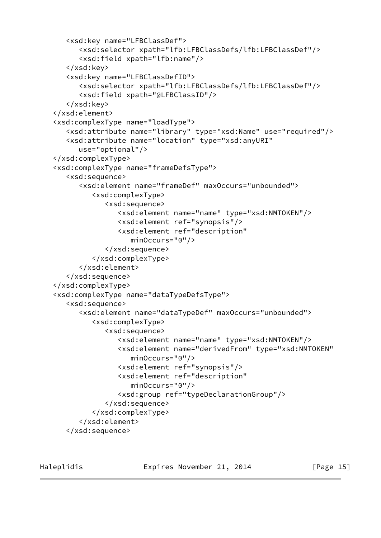```
 <xsd:key name="LFBClassDef">
       <xsd:selector xpath="lfb:LFBClassDefs/lfb:LFBClassDef"/>
       <xsd:field xpath="lfb:name"/>
    </xsd:key>
    <xsd:key name="LFBClassDefID">
       <xsd:selector xpath="lfb:LFBClassDefs/lfb:LFBClassDef"/>
       <xsd:field xpath="@LFBClassID"/>
    </xsd:key>
 </xsd:element>
 <xsd:complexType name="loadType">
    <xsd:attribute name="library" type="xsd:Name" use="required"/>
    <xsd:attribute name="location" type="xsd:anyURI"
       use="optional"/>
 </xsd:complexType>
 <xsd:complexType name="frameDefsType">
    <xsd:sequence>
       <xsd:element name="frameDef" maxOccurs="unbounded">
          <xsd:complexType>
             <xsd:sequence>
                <xsd:element name="name" type="xsd:NMTOKEN"/>
                <xsd:element ref="synopsis"/>
                <xsd:element ref="description"
                   minOccurs="0"/>
             </xsd:sequence>
          </xsd:complexType>
       </xsd:element>
    </xsd:sequence>
 </xsd:complexType>
 <xsd:complexType name="dataTypeDefsType">
    <xsd:sequence>
       <xsd:element name="dataTypeDef" maxOccurs="unbounded">
          <xsd:complexType>
             <xsd:sequence>
                <xsd:element name="name" type="xsd:NMTOKEN"/>
                <xsd:element name="derivedFrom" type="xsd:NMTOKEN"
                    minOccurs="0"/>
                <xsd:element ref="synopsis"/>
                <xsd:element ref="description"
                    minOccurs="0"/>
                <xsd:group ref="typeDeclarationGroup"/>
             </xsd:sequence>
          </xsd:complexType>
       </xsd:element>
    </xsd:sequence>
```
Haleplidis **Expires November 21, 2014** [Page 15]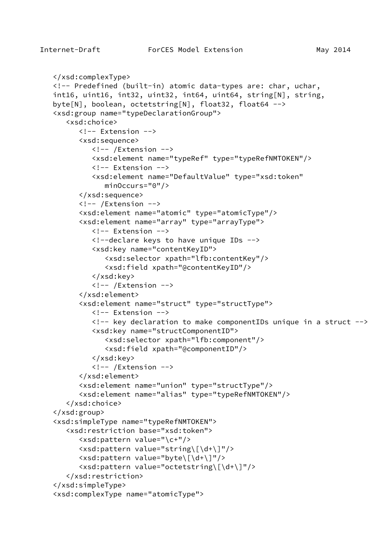```
 </xsd:complexType>
 <!-- Predefined (built-in) atomic data-types are: char, uchar,
 int16, uint16, int32, uint32, int64, uint64, string[N], string,
 byte[N], boolean, octetstring[N], float32, float64 -->
 <xsd:group name="typeDeclarationGroup">
    <xsd:choice>
      \langle!-- Fxtension -->
       <xsd:sequence>
         \langle!-- /Extension -->
          <xsd:element name="typeRef" type="typeRefNMTOKEN"/>
          <!-- Extension -->
          <xsd:element name="DefaultValue" type="xsd:token"
             minOccurs="0"/>
       </xsd:sequence>
       <!-- /Extension -->
       <xsd:element name="atomic" type="atomicType"/>
       <xsd:element name="array" type="arrayType">
          <!-- Extension -->
          <!--declare keys to have unique IDs -->
          <xsd:key name="contentKeyID">
              <xsd:selector xpath="lfb:contentKey"/>
              <xsd:field xpath="@contentKeyID"/>
          </xsd:key>
          <!-- /Extension -->
       </xsd:element>
       <xsd:element name="struct" type="structType">
          <!-- Extension -->
          <!-- key declaration to make componentIDs unique in a struct -->
          <xsd:key name="structComponentID">
             <xsd:selector xpath="lfb:component"/>
             <xsd:field xpath="@componentID"/>
          </xsd:key>
          <!-- /Extension -->
       </xsd:element>
       <xsd:element name="union" type="structType"/>
       <xsd:element name="alias" type="typeRefNMTOKEN"/>
    </xsd:choice>
 </xsd:group>
 <xsd:simpleType name="typeRefNMTOKEN">
    <xsd:restriction base="xsd:token">
       <xsd:pattern value="\c+"/>
       <xsd:pattern value="string\[\d+\]"/>
       <xsd:pattern value="byte\[\d+\]"/>
       <xsd:pattern value="octetstring\[\d+\]"/>
    </xsd:restriction>
 </xsd:simpleType>
 <xsd:complexType name="atomicType">
```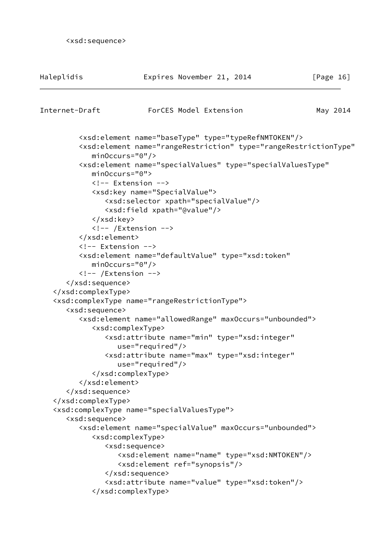```
 <xsd:sequence>
```

| Haleplidis                    | Expires November 21, 2014                                                                           | [Page $16$ ] |
|-------------------------------|-----------------------------------------------------------------------------------------------------|--------------|
| Internet-Draft                | ForCES Model Extension                                                                              | May 2014     |
|                               |                                                                                                     |              |
|                               | <xsd:element name="baseType" type="typeRefNMTOKEN"></xsd:element>                                   |              |
|                               | <xsd:element <="" name="rangeRestriction" td="" type="rangeRestrictionType"><td></td></xsd:element> |              |
| $minOccurs="0"$ />            | <xsd:element <="" name="specialValues" td="" type="specialValuesType"><td></td></xsd:element>       |              |
| $minOccurs="0"$               |                                                                                                     |              |
|                               | Extension                                                                                           |              |
|                               | <xsd:key name="SpecialValue"></xsd:key>                                                             |              |
|                               | <xsd:selector xpath="specialValue"></xsd:selector>                                                  |              |
|                               | <xsd:field xpath="@value"></xsd:field>                                                              |              |
|                               |                                                                                                     |              |
|                               | $\langle$ !-- /Extension -->                                                                        |              |
|                               |                                                                                                     |              |
| Extension                     |                                                                                                     |              |
|                               | <xsd:element <="" name="defaultValue" td="" type="xsd:token"><td></td></xsd:element>                |              |
| $minOccurs="0"$ />            |                                                                                                     |              |
| $\langle$ !-- /Extension -->  |                                                                                                     |              |
|                               |                                                                                                     |              |
|                               |                                                                                                     |              |
|                               | <xsd:complextype name="rangeRestrictionType"></xsd:complextype>                                     |              |
| <xsd:sequence></xsd:sequence> |                                                                                                     |              |
|                               | <xsd:element maxoccurs="unbounded" name="allowedRange"></xsd:element>                               |              |
|                               | <xsd:complextype></xsd:complextype>                                                                 |              |
|                               | <xsd:attribute <="" name="min" td="" type="xsd:integer"><td></td></xsd:attribute>                   |              |
|                               | use="required"/>                                                                                    |              |
|                               | <xsd:attribute <="" name="max" td="" type="xsd:integer"><td></td></xsd:attribute>                   |              |
|                               | $use="regulared"$                                                                                   |              |
|                               |                                                                                                     |              |
|                               |                                                                                                     |              |
| <br>                          |                                                                                                     |              |
|                               | <xsd:complextype name="specialValuesType"></xsd:complextype>                                        |              |
| <xsd:sequence></xsd:sequence> |                                                                                                     |              |
|                               | <xsd:element maxoccurs="unbounded" name="specialValue"></xsd:element>                               |              |
|                               | <xsd:complextype></xsd:complextype>                                                                 |              |
|                               | <xsd:sequence></xsd:sequence>                                                                       |              |
|                               | <xsd:element name="name" type="xsd:NMTOKEN"></xsd:element>                                          |              |
|                               | <xsd:element ref="synopsis"></xsd:element>                                                          |              |
|                               |                                                                                                     |              |
|                               | <xsd:attribute name="value" type="xsd:token"></xsd:attribute>                                       |              |
|                               |                                                                                                     |              |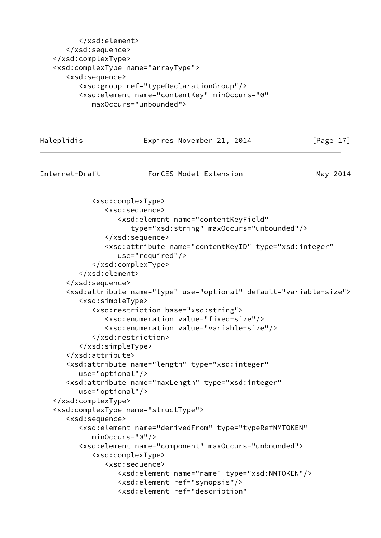```
 </xsd:element>
       </xsd:sequence>
    </xsd:complexType>
    <xsd:complexType name="arrayType">
       <xsd:sequence>
          <xsd:group ref="typeDeclarationGroup"/>
          <xsd:element name="contentKey" minOccurs="0"
             maxOccurs="unbounded">
Haleplidis Expires November 21, 2014 [Page 17]
Internet-Draft ForCES Model Extension May 2014
             <xsd:complexType>
                <xsd:sequence>
                   <xsd:element name="contentKeyField"
                      type="xsd:string" maxOccurs="unbounded"/>
                </xsd:sequence>
                <xsd:attribute name="contentKeyID" type="xsd:integer"
                   use="required"/>
             </xsd:complexType>
          </xsd:element>
       </xsd:sequence>
       <xsd:attribute name="type" use="optional" default="variable-size">
          <xsd:simpleType>
             <xsd:restriction base="xsd:string">
                <xsd:enumeration value="fixed-size"/>
                <xsd:enumeration value="variable-size"/>
             </xsd:restriction>
          </xsd:simpleType>
       </xsd:attribute>
       <xsd:attribute name="length" type="xsd:integer"
          use="optional"/>
       <xsd:attribute name="maxLength" type="xsd:integer"
          use="optional"/>
    </xsd:complexType>
    <xsd:complexType name="structType">
       <xsd:sequence>
          <xsd:element name="derivedFrom" type="typeRefNMTOKEN"
             minOccurs="0"/>
          <xsd:element name="component" maxOccurs="unbounded">
             <xsd:complexType>
                <xsd:sequence>
                   <xsd:element name="name" type="xsd:NMTOKEN"/>
                   <xsd:element ref="synopsis"/>
                   <xsd:element ref="description"
```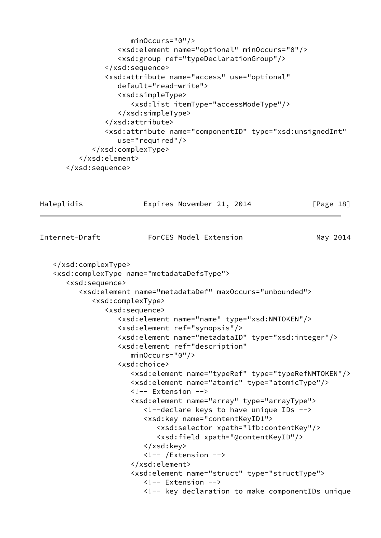```
 minOccurs="0"/>
             <xsd:element name="optional" minOccurs="0"/>
             <xsd:group ref="typeDeclarationGroup"/>
          </xsd:sequence>
          <xsd:attribute name="access" use="optional"
             default="read-write">
             <xsd:simpleType>
                 <xsd:list itemType="accessModeType"/>
             </xsd:simpleType>
          </xsd:attribute>
          <xsd:attribute name="componentID" type="xsd:unsignedInt"
             use="required"/>
       </xsd:complexType>
    </xsd:element>
 </xsd:sequence>
```

```
Haleplidis Expires November 21, 2014 [Page 18]
Internet-Draft ForCES Model Extension May 2014
    </xsd:complexType>
    <xsd:complexType name="metadataDefsType">
       <xsd:sequence>
          <xsd:element name="metadataDef" maxOccurs="unbounded">
             <xsd:complexType>
                <xsd:sequence>
                   <xsd:element name="name" type="xsd:NMTOKEN"/>
                   <xsd:element ref="synopsis"/>
                  <xsd:element name="metadataID" type="xsd:integer"/>
                   <xsd:element ref="description"
                     minOccurs="0"/>
                  <xsd:choice>
                     <xsd:element name="typeRef" type="typeRefNMTOKEN"/>
                     <xsd:element name="atomic" type="atomicType"/>
                     <!-- Extension -->
                     <xsd:element name="array" type="arrayType">
                        <!--declare keys to have unique IDs -->
                         <xsd:key name="contentKeyID1">
                            <xsd:selector xpath="lfb:contentKey"/>
                           <xsd:field xpath="@contentKeyID"/>
                        </xsd:key>
                         <!-- /Extension -->
                     </xsd:element>
                     <xsd:element name="struct" type="structType">
                        <!-- Extension -->
                         <!-- key declaration to make componentIDs unique
```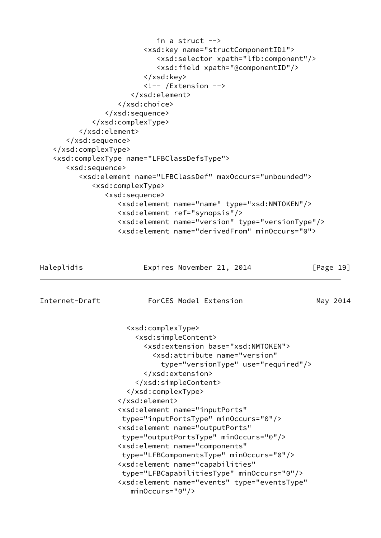```
 in a struct -->
                         <xsd:key name="structComponentID1">
                            <xsd:selector xpath="lfb:component"/>
                            <xsd:field xpath="@componentID"/>
                         </xsd:key>
                         <!-- /Extension -->
                      </xsd:element>
                   </xsd:choice>
                </xsd:sequence>
             </xsd:complexType>
          </xsd:element>
       </xsd:sequence>
    </xsd:complexType>
    <xsd:complexType name="LFBClassDefsType">
       <xsd:sequence>
          <xsd:element name="LFBClassDef" maxOccurs="unbounded">
             <xsd:complexType>
                <xsd:sequence>
                   <xsd:element name="name" type="xsd:NMTOKEN"/>
                   <xsd:element ref="synopsis"/>
                   <xsd:element name="version" type="versionType"/>
                   <xsd:element name="derivedFrom" minOccurs="0">
Haleplidis Expires November 21, 2014 [Page 19]
Internet-Draft ForCES Model Extension May 2014
                     <xsd:complexType>
                       <xsd:simpleContent>
                         <xsd:extension base="xsd:NMTOKEN">
                           <xsd:attribute name="version"
                             type="versionType" use="required"/>
                         </xsd:extension>
                       </xsd:simpleContent>
                     </xsd:complexType>
                   </xsd:element>
                   <xsd:element name="inputPorts"
                    type="inputPortsType" minOccurs="0"/>
                   <xsd:element name="outputPorts"
                    type="outputPortsType" minOccurs="0"/>
                   <xsd:element name="components"
                    type="LFBComponentsType" minOccurs="0"/>
                   <xsd:element name="capabilities"
                    type="LFBCapabilitiesType" minOccurs="0"/>
                   <xsd:element name="events" type="eventsType"
                      minOccurs="0"/>
```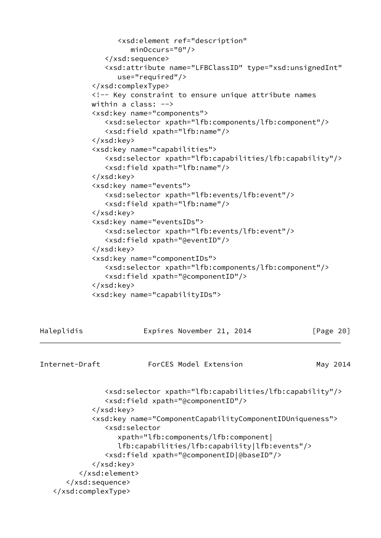```
 <xsd:element ref="description"
                      minOccurs="0"/>
                </xsd:sequence>
                <xsd:attribute name="LFBClassID" type="xsd:unsignedInt"
                   use="required"/>
             </xsd:complexType>
             <!-- Key constraint to ensure unique attribute names
             within a class: -->
             <xsd:key name="components">
                <xsd:selector xpath="lfb:components/lfb:component"/>
                <xsd:field xpath="lfb:name"/>
             </xsd:key>
             <xsd:key name="capabilities">
                <xsd:selector xpath="lfb:capabilities/lfb:capability"/>
                <xsd:field xpath="lfb:name"/>
             </xsd:key>
             <xsd:key name="events">
                <xsd:selector xpath="lfb:events/lfb:event"/>
                <xsd:field xpath="lfb:name"/>
             </xsd:key>
             <xsd:key name="eventsIDs">
                <xsd:selector xpath="lfb:events/lfb:event"/>
                <xsd:field xpath="@eventID"/>
             </xsd:key>
             <xsd:key name="componentIDs">
                <xsd:selector xpath="lfb:components/lfb:component"/>
                <xsd:field xpath="@componentID"/>
             </xsd:key>
             <xsd:key name="capabilityIDs">
Haleplidis Expires November 21, 2014 [Page 20]
Internet-Draft ForCES Model Extension May 2014
                <xsd:selector xpath="lfb:capabilities/lfb:capability"/>
                <xsd:field xpath="@componentID"/>
             </xsd:key>
             <xsd:key name="ComponentCapabilityComponentIDUniqueness">
                <xsd:selector
                   xpath="lfb:components/lfb:component|
                   lfb:capabilities/lfb:capability|lfb:events"/>
                <xsd:field xpath="@componentID|@baseID"/>
```
</xsd:key>

```
 </xsd:element>
```
 </xsd:sequence> </xsd:complexType>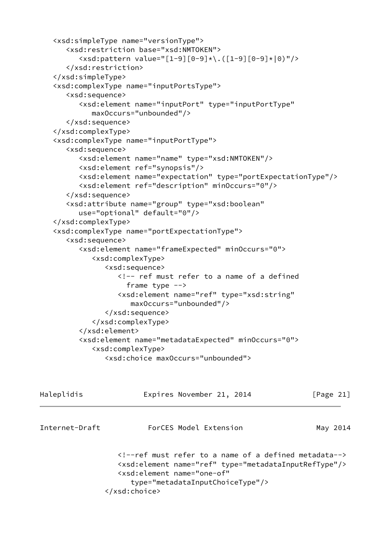```
 <xsd:simpleType name="versionType">
    <xsd:restriction base="xsd:NMTOKEN">
       <xsd:pattern value="[1-9][0-9]*\.([1-9][0-9]*|0)"/>
    </xsd:restriction>
 </xsd:simpleType>
 <xsd:complexType name="inputPortsType">
    <xsd:sequence>
       <xsd:element name="inputPort" type="inputPortType"
          maxOccurs="unbounded"/>
    </xsd:sequence>
 </xsd:complexType>
 <xsd:complexType name="inputPortType">
    <xsd:sequence>
       <xsd:element name="name" type="xsd:NMTOKEN"/>
       <xsd:element ref="synopsis"/>
       <xsd:element name="expectation" type="portExpectationType"/>
       <xsd:element ref="description" minOccurs="0"/>
    </xsd:sequence>
    <xsd:attribute name="group" type="xsd:boolean"
       use="optional" default="0"/>
 </xsd:complexType>
 <xsd:complexType name="portExpectationType">
    <xsd:sequence>
       <xsd:element name="frameExpected" minOccurs="0">
          <xsd:complexType>
             <xsd:sequence>
                <!-- ref must refer to a name of a defined
                  frame type -->
                <xsd:element name="ref" type="xsd:string"
                   maxOccurs="unbounded"/>
             </xsd:sequence>
          </xsd:complexType>
       </xsd:element>
       <xsd:element name="metadataExpected" minOccurs="0">
          <xsd:complexType>
             <xsd:choice maxOccurs="unbounded">
```

| Haleplidis     | Expires November 21, 2014                                                                                                                                                                                        | [Page 21] |
|----------------|------------------------------------------------------------------------------------------------------------------------------------------------------------------------------------------------------------------|-----------|
| Internet-Draft | ForCES Model Extension                                                                                                                                                                                           | May 2014  |
|                | ref must refer to a name of a defined metadata<br><xsd:element name="ref" type="metadataInputRefType"></xsd:element><br><xsd:element <br="" name="one-of">type="metadataInputChoiceType"/&gt;<br/></xsd:element> |           |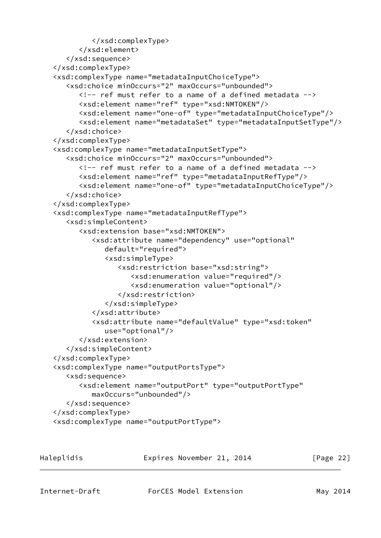```
 </xsd:complexType>
       </xsd:element>
    </xsd:sequence>
 </xsd:complexType>
 <xsd:complexType name="metadataInputChoiceType">
    <xsd:choice minOccurs="2" maxOccurs="unbounded">
       <!-- ref must refer to a name of a defined metadata -->
       <xsd:element name="ref" type="xsd:NMTOKEN"/>
       <xsd:element name="one-of" type="metadataInputChoiceType"/>
       <xsd:element name="metadataSet" type="metadataInputSetType"/>
    </xsd:choice>
 </xsd:complexType>
 <xsd:complexType name="metadataInputSetType">
    <xsd:choice minOccurs="2" maxOccurs="unbounded">
       <!-- ref must refer to a name of a defined metadata -->
       <xsd:element name="ref" type="metadataInputRefType"/>
       <xsd:element name="one-of" type="metadataInputChoiceType"/>
    </xsd:choice>
 </xsd:complexType>
 <xsd:complexType name="metadataInputRefType">
    <xsd:simpleContent>
       <xsd:extension base="xsd:NMTOKEN">
          <xsd:attribute name="dependency" use="optional"
             default="required">
             <xsd:simpleType>
                <xsd:restriction base="xsd:string">
                   <xsd:enumeration value="required"/>
                   <xsd:enumeration value="optional"/>
                </xsd:restriction>
             </xsd:simpleType>
          </xsd:attribute>
          <xsd:attribute name="defaultValue" type="xsd:token"
             use="optional"/>
       </xsd:extension>
    </xsd:simpleContent>
 </xsd:complexType>
 <xsd:complexType name="outputPortsType">
    <xsd:sequence>
       <xsd:element name="outputPort" type="outputPortType"
          maxOccurs="unbounded"/>
    </xsd:sequence>
 </xsd:complexType>
 <xsd:complexType name="outputPortType">
```
Haleplidis **Expires November 21, 2014** [Page 22]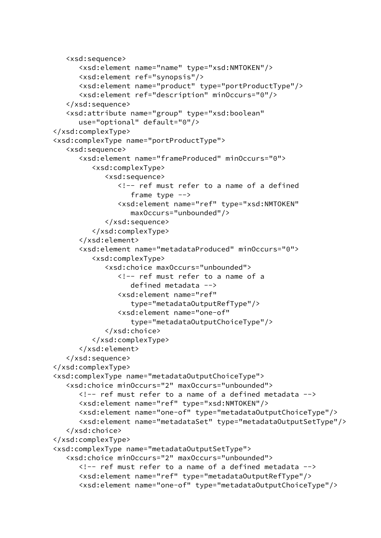```
 <xsd:sequence>
       <xsd:element name="name" type="xsd:NMTOKEN"/>
       <xsd:element ref="synopsis"/>
       <xsd:element name="product" type="portProductType"/>
       <xsd:element ref="description" minOccurs="0"/>
    </xsd:sequence>
    <xsd:attribute name="group" type="xsd:boolean"
       use="optional" default="0"/>
 </xsd:complexType>
 <xsd:complexType name="portProductType">
    <xsd:sequence>
       <xsd:element name="frameProduced" minOccurs="0">
          <xsd:complexType>
             <xsd:sequence>
                <!-- ref must refer to a name of a defined
                   frame type -->
                <xsd:element name="ref" type="xsd:NMTOKEN"
                   maxOccurs="unbounded"/>
             </xsd:sequence>
          </xsd:complexType>
       </xsd:element>
       <xsd:element name="metadataProduced" minOccurs="0">
          <xsd:complexType>
             <xsd:choice maxOccurs="unbounded">
                <!-- ref must refer to a name of a
                   defined metadata -->
                <xsd:element name="ref"
                   type="metadataOutputRefType"/>
                <xsd:element name="one-of"
                   type="metadataOutputChoiceType"/>
             </xsd:choice>
          </xsd:complexType>
       </xsd:element>
    </xsd:sequence>
 </xsd:complexType>
 <xsd:complexType name="metadataOutputChoiceType">
    <xsd:choice minOccurs="2" maxOccurs="unbounded">
       <!-- ref must refer to a name of a defined metadata -->
       <xsd:element name="ref" type="xsd:NMTOKEN"/>
       <xsd:element name="one-of" type="metadataOutputChoiceType"/>
       <xsd:element name="metadataSet" type="metadataOutputSetType"/>
    </xsd:choice>
 </xsd:complexType>
 <xsd:complexType name="metadataOutputSetType">
    <xsd:choice minOccurs="2" maxOccurs="unbounded">
      \langle!-- ref must refer to a name of a defined metadata -->
       <xsd:element name="ref" type="metadataOutputRefType"/>
       <xsd:element name="one-of" type="metadataOutputChoiceType"/>
```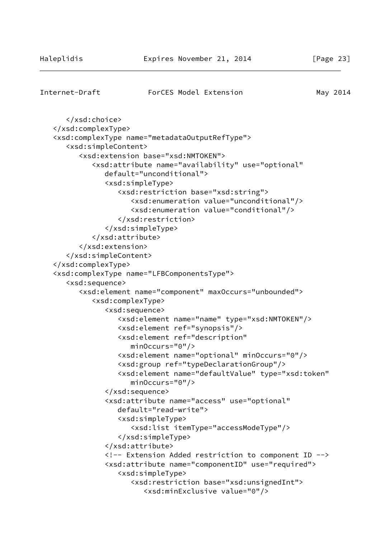#### Internet-Draft ForCES Model Extension May 2014

```
 </xsd:choice>
 </xsd:complexType>
 <xsd:complexType name="metadataOutputRefType">
    <xsd:simpleContent>
       <xsd:extension base="xsd:NMTOKEN">
          <xsd:attribute name="availability" use="optional"
             default="unconditional">
             <xsd:simpleType>
                <xsd:restriction base="xsd:string">
                    <xsd:enumeration value="unconditional"/>
                    <xsd:enumeration value="conditional"/>
                </xsd:restriction>
             </xsd:simpleType>
          </xsd:attribute>
       </xsd:extension>
    </xsd:simpleContent>
 </xsd:complexType>
 <xsd:complexType name="LFBComponentsType">
    <xsd:sequence>
       <xsd:element name="component" maxOccurs="unbounded">
          <xsd:complexType>
             <xsd:sequence>
                <xsd:element name="name" type="xsd:NMTOKEN"/>
                <xsd:element ref="synopsis"/>
                <xsd:element ref="description"
                    minOccurs="0"/>
                <xsd:element name="optional" minOccurs="0"/>
                <xsd:group ref="typeDeclarationGroup"/>
                <xsd:element name="defaultValue" type="xsd:token"
                   minOccurs="0"/>
             </xsd:sequence>
             <xsd:attribute name="access" use="optional"
                default="read-write">
                <xsd:simpleType>
                    <xsd:list itemType="accessModeType"/>
                </xsd:simpleType>
             </xsd:attribute>
             <!-- Extension Added restriction to component ID -->
             <xsd:attribute name="componentID" use="required">
                <xsd:simpleType>
                    <xsd:restriction base="xsd:unsignedInt">
                       <xsd:minExclusive value="0"/>
```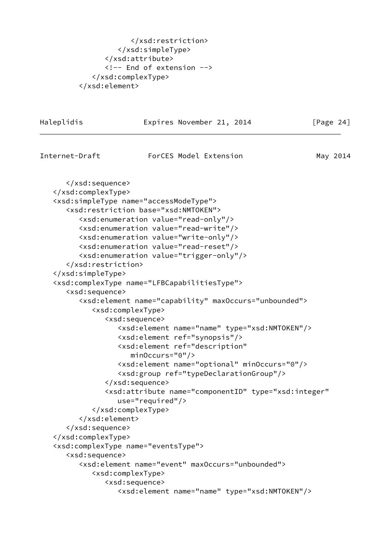```
 </xsd:restriction>
          </xsd:simpleType>
       </xsd:attribute>
       <!-- End of extension -->
    </xsd:complexType>
 </xsd:element>
```
Haleplidis **Expires November 21, 2014** [Page 24] Internet-Draft ForCES Model Extension May 2014 </xsd:sequence> </xsd:complexType> <xsd:simpleType name="accessModeType"> <xsd:restriction base="xsd:NMTOKEN"> <xsd:enumeration value="read-only"/> <xsd:enumeration value="read-write"/> <xsd:enumeration value="write-only"/> <xsd:enumeration value="read-reset"/> <xsd:enumeration value="trigger-only"/> </xsd:restriction> </xsd:simpleType> <xsd:complexType name="LFBCapabilitiesType"> <xsd:sequence> <xsd:element name="capability" maxOccurs="unbounded"> <xsd:complexType> <xsd:sequence> <xsd:element name="name" type="xsd:NMTOKEN"/> <xsd:element ref="synopsis"/> <xsd:element ref="description" minOccurs="0"/> <xsd:element name="optional" minOccurs="0"/> <xsd:group ref="typeDeclarationGroup"/> </xsd:sequence> <xsd:attribute name="componentID" type="xsd:integer" use="required"/> </xsd:complexType> </xsd:element> </xsd:sequence> </xsd:complexType> <xsd:complexType name="eventsType"> <xsd:sequence> <xsd:element name="event" maxOccurs="unbounded"> <xsd:complexType> <xsd:sequence> <xsd:element name="name" type="xsd:NMTOKEN"/>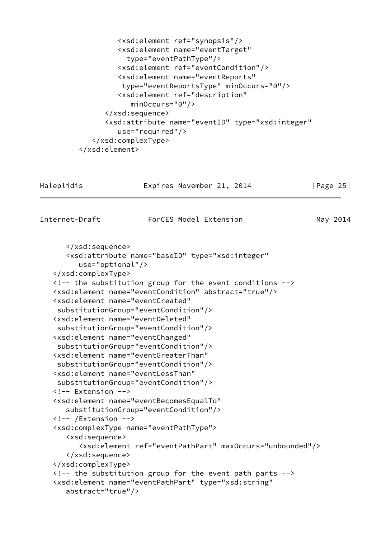```
 <xsd:element ref="synopsis"/>
          <xsd:element name="eventTarget"
            type="eventPathType"/>
          <xsd:element ref="eventCondition"/>
          <xsd:element name="eventReports"
           type="eventReportsType" minOccurs="0"/>
          <xsd:element ref="description"
             minOccurs="0"/>
       </xsd:sequence>
       <xsd:attribute name="eventID" type="xsd:integer"
          use="required"/>
    </xsd:complexType>
 </xsd:element>
```

| Haleplidis | Expires November 21, 2014 | [Page 25] |
|------------|---------------------------|-----------|
|            |                           |           |

</xsd:sequence>

Internet-Draft ForCES Model Extension May 2014

```
 <xsd:attribute name="baseID" type="xsd:integer"
       use="optional"/>
 </xsd:complexType>
\langle !-- the substitution group for the event conditions \rightarrow <xsd:element name="eventCondition" abstract="true"/>
 <xsd:element name="eventCreated"
  substitutionGroup="eventCondition"/>
 <xsd:element name="eventDeleted"
  substitutionGroup="eventCondition"/>
 <xsd:element name="eventChanged"
  substitutionGroup="eventCondition"/>
 <xsd:element name="eventGreaterThan"
  substitutionGroup="eventCondition"/>
 <xsd:element name="eventLessThan"
 substitutionGroup="eventCondition"/>
 <!-- Extension -->
 <xsd:element name="eventBecomesEqualTo"
    substitutionGroup="eventCondition"/>
 <!-- /Extension -->
 <xsd:complexType name="eventPathType">
    <xsd:sequence>
       <xsd:element ref="eventPathPart" maxOccurs="unbounded"/>
    </xsd:sequence>
 </xsd:complexType>
\langle!-- the substitution group for the event path parts \rightarrow <xsd:element name="eventPathPart" type="xsd:string"
    abstract="true"/>
```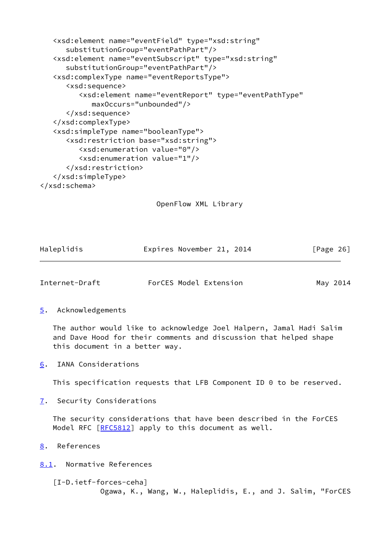```
 <xsd:element name="eventField" type="xsd:string"
       substitutionGroup="eventPathPart"/>
    <xsd:element name="eventSubscript" type="xsd:string"
       substitutionGroup="eventPathPart"/>
    <xsd:complexType name="eventReportsType">
       <xsd:sequence>
          <xsd:element name="eventReport" type="eventPathType"
             maxOccurs="unbounded"/>
       </xsd:sequence>
    </xsd:complexType>
    <xsd:simpleType name="booleanType">
       <xsd:restriction base="xsd:string">
          <xsd:enumeration value="0"/>
          <xsd:enumeration value="1"/>
       </xsd:restriction>
    </xsd:simpleType>
</xsd:schema>
```

```
 OpenFlow XML Library
```

| Haleplidis | Expires November 21, 2014 | [Page 26] |
|------------|---------------------------|-----------|
|            |                           |           |

<span id="page-29-1"></span>

| Internet-Draft | ForCES Model Extension | May 2014 |
|----------------|------------------------|----------|
|                |                        |          |

<span id="page-29-0"></span>[5](#page-29-0). Acknowledgements

 The author would like to acknowledge Joel Halpern, Jamal Hadi Salim and Dave Hood for their comments and discussion that helped shape this document in a better way.

<span id="page-29-2"></span>[6](#page-29-2). IANA Considerations

This specification requests that LFB Component ID 0 to be reserved.

<span id="page-29-3"></span>[7](#page-29-3). Security Considerations

 The security considerations that have been described in the ForCES Model RFC [[RFC5812](https://datatracker.ietf.org/doc/pdf/rfc5812)] apply to this document as well.

<span id="page-29-4"></span>[8](#page-29-4). References

<span id="page-29-5"></span>[8.1](#page-29-5). Normative References

```
 [I-D.ietf-forces-ceha]
            Ogawa, K., Wang, W., Haleplidis, E., and J. Salim, "ForCES
```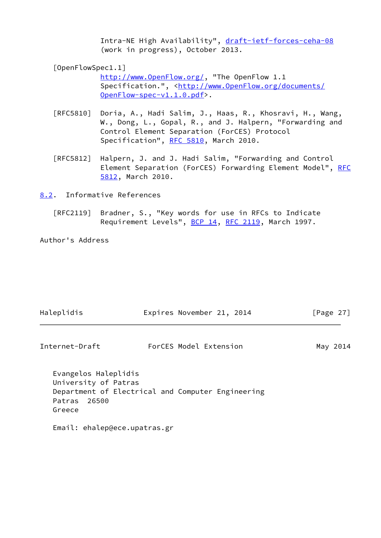Intra-NE High Availability", [draft-ietf-forces-ceha-08](https://datatracker.ietf.org/doc/pdf/draft-ietf-forces-ceha-08) (work in progress), October 2013.

<span id="page-30-1"></span>[OpenFlowSpec1.1]

 [http://www.OpenFlow.org/,](http://www.OpenFlow.org/) "The OpenFlow 1.1 Specification.", [<http://www.OpenFlow.org/documents/](http://www.OpenFlow.org/documents/OpenFlow-spec-v1.1.0.pdf) [OpenFlow-spec-v1.1.0.pdf>](http://www.OpenFlow.org/documents/OpenFlow-spec-v1.1.0.pdf).

- [RFC5810] Doria, A., Hadi Salim, J., Haas, R., Khosravi, H., Wang, W., Dong, L., Gopal, R., and J. Halpern, "Forwarding and Control Element Separation (ForCES) Protocol Specification", [RFC 5810,](https://datatracker.ietf.org/doc/pdf/rfc5810) March 2010.
- [RFC5812] Halpern, J. and J. Hadi Salim, "Forwarding and Control Element Separation (ForCES) Forwarding Element Model", [RFC](https://datatracker.ietf.org/doc/pdf/rfc5812) [5812,](https://datatracker.ietf.org/doc/pdf/rfc5812) March 2010.

<span id="page-30-0"></span>[8.2](#page-30-0). Informative References

 [RFC2119] Bradner, S., "Key words for use in RFCs to Indicate Requirement Levels", [BCP 14](https://datatracker.ietf.org/doc/pdf/bcp14), [RFC 2119](https://datatracker.ietf.org/doc/pdf/rfc2119), March 1997.

Author's Address

Greece

| Haleplidis                                                      | Expires November 21, 2014                         | [Page $27$ ] |
|-----------------------------------------------------------------|---------------------------------------------------|--------------|
| Internet-Draft                                                  | ForCES Model Extension                            | May 2014     |
| Evangelos Haleplidis<br>University of Patras<br>Patras<br>26500 | Department of Electrical and Computer Engineering |              |

Email: ehalep@ece.upatras.gr